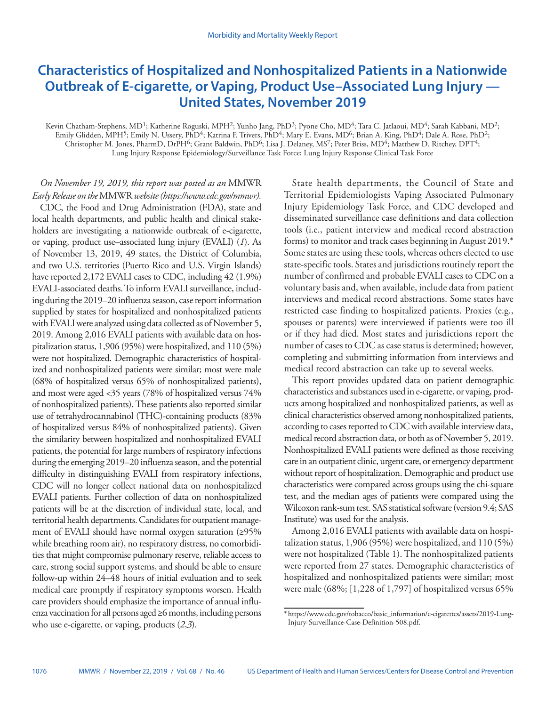# **Characteristics of Hospitalized and Nonhospitalized Patients in a Nationwide Outbreak of E-cigarette, or Vaping, Product Use–Associated Lung Injury — United States, November 2019**

Kevin Chatham-Stephens, MD<sup>1</sup>; Katherine Roguski, MPH<sup>2</sup>; Yunho Jang, PhD<sup>3</sup>; Pyone Cho, MD<sup>4</sup>; Tara C. Jatlaoui, MD<sup>4</sup>; Sarah Kabbani, MD<sup>2</sup>; Emily Glidden, MPH<sup>5</sup>; Emily N. Ussery, PhD<sup>4</sup>; Katrina F. Trivers, PhD<sup>4</sup>; Mary E. Evans, MD<sup>6</sup>; Brian A. King, PhD<sup>4</sup>; Dale A. Rose, PhD<sup>2</sup>; Christopher M. Jones, PharmD, DrPH<sup>6</sup>; Grant Baldwin, PhD<sup>6</sup>; Lisa J. Delaney, MS<sup>7</sup>; Peter Briss, MD<sup>4</sup>; Matthew D. Ritchey, DPT<sup>4</sup>; Lung Injury Response Epidemiology/Surveillance Task Force; Lung Injury Response Clinical Task Force

# *On November 19, 2019, this report was posted as an* MMWR *Early Release on the* MMWR *website (<https://www.cdc.gov/mmwr>).*

CDC, the Food and Drug Administration (FDA), state and local health departments, and public health and clinical stakeholders are investigating a nationwide outbreak of e-cigarette, or vaping, product use–associated lung injury (EVALI) (*1*). As of November 13, 2019, 49 states, the District of Columbia, and two U.S. territories (Puerto Rico and U.S. Virgin Islands) have reported 2,172 EVALI cases to CDC, including 42 (1.9%) EVALI-associated deaths. To inform EVALI surveillance, including during the 2019–20 influenza season, case report information supplied by states for hospitalized and nonhospitalized patients with EVALI were analyzed using data collected as of November 5, 2019. Among 2,016 EVALI patients with available data on hospitalization status, 1,906 (95%) were hospitalized, and 110 (5%) were not hospitalized. Demographic characteristics of hospitalized and nonhospitalized patients were similar; most were male (68% of hospitalized versus 65% of nonhospitalized patients), and most were aged <35 years (78% of hospitalized versus 74% of nonhospitalized patients). These patients also reported similar use of tetrahydrocannabinol (THC)-containing products (83% of hospitalized versus 84% of nonhospitalized patients). Given the similarity between hospitalized and nonhospitalized EVALI patients, the potential for large numbers of respiratory infections during the emerging 2019–20 influenza season, and the potential difficulty in distinguishing EVALI from respiratory infections, CDC will no longer collect national data on nonhospitalized EVALI patients. Further collection of data on nonhospitalized patients will be at the discretion of individual state, local, and territorial health departments. Candidates for outpatient management of EVALI should have normal oxygen saturation (≥95% while breathing room air), no respiratory distress, no comorbidities that might compromise pulmonary reserve, reliable access to care, strong social support systems, and should be able to ensure follow-up within 24–48 hours of initial evaluation and to seek medical care promptly if respiratory symptoms worsen. Health care providers should emphasize the importance of annual influenza vaccination for all persons aged ≥6 months, including persons who use e-cigarette, or vaping, products (*2*,*3*).

State health departments, the Council of State and Territorial Epidemiologists Vaping Associated Pulmonary Injury Epidemiology Task Force, and CDC developed and disseminated surveillance case definitions and data collection tools (i.e., patient interview and medical record abstraction forms) to monitor and track cases beginning in August 2019.\* Some states are using these tools, whereas others elected to use state-specific tools. States and jurisdictions routinely report the number of confirmed and probable EVALI cases to CDC on a voluntary basis and, when available, include data from patient interviews and medical record abstractions. Some states have restricted case finding to hospitalized patients. Proxies (e.g., spouses or parents) were interviewed if patients were too ill or if they had died. Most states and jurisdictions report the number of cases to CDC as case status is determined; however, completing and submitting information from interviews and medical record abstraction can take up to several weeks.

This report provides updated data on patient demographic characteristics and substances used in e-cigarette, or vaping, products among hospitalized and nonhospitalized patients, as well as clinical characteristics observed among nonhospitalized patients, according to cases reported to CDC with available interview data, medical record abstraction data, or both as of November 5, 2019. Nonhospitalized EVALI patients were defined as those receiving care in an outpatient clinic, urgent care, or emergency department without report of hospitalization. Demographic and product use characteristics were compared across groups using the chi-square test, and the median ages of patients were compared using the Wilcoxon rank-sum test. SAS statistical software (version 9.4; SAS Institute) was used for the analysis.

Among 2,016 EVALI patients with available data on hospitalization status, 1,906 (95%) were hospitalized, and 110 (5%) were not hospitalized (Table 1). The nonhospitalized patients were reported from 27 states. Demographic characteristics of hospitalized and nonhospitalized patients were similar; most were male (68%; [1,228 of 1,797] of hospitalized versus 65%

<sup>\*</sup> [https://www.cdc.gov/tobacco/basic\\_information/e-cigarettes/assets/2019-Lung-](https://www.cdc.gov/tobacco/basic_information/e-cigarettes/assets/2019-Lung-Injury-Surveillance-Case-Definition-508.pdf)[Injury-Surveillance-Case-Definition-508.pdf.](https://www.cdc.gov/tobacco/basic_information/e-cigarettes/assets/2019-Lung-Injury-Surveillance-Case-Definition-508.pdf)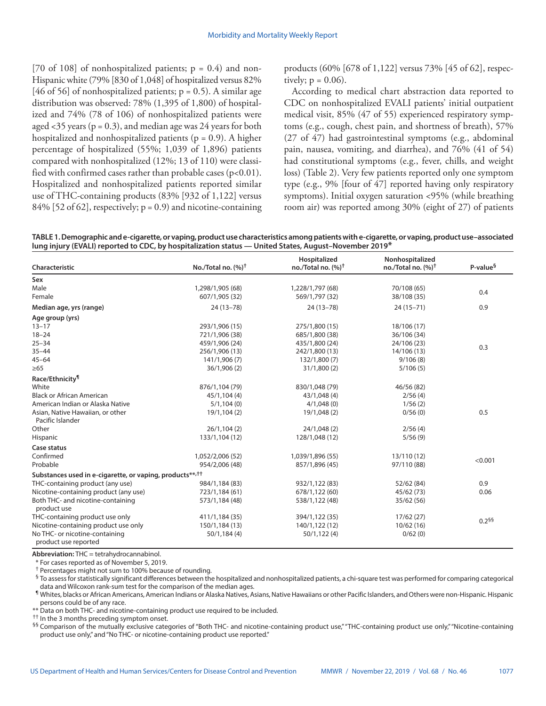[70 of 108] of nonhospitalized patients;  $p = 0.4$ ) and non-Hispanic white (79% [830 of 1,048] of hospitalized versus 82% [46 of 56] of nonhospitalized patients;  $p = 0.5$ ). A similar age distribution was observed: 78% (1,395 of 1,800) of hospitalized and 74% (78 of 106) of nonhospitalized patients were aged <35 years ( $p = 0.3$ ), and median age was 24 years for both hospitalized and nonhospitalized patients ( $p = 0.9$ ). A higher percentage of hospitalized (55%; 1,039 of 1,896) patients compared with nonhospitalized (12%; 13 of 110) were classified with confirmed cases rather than probable cases  $(p<0.01)$ . Hospitalized and nonhospitalized patients reported similar use of THC-containing products (83% [932 of 1,122] versus  $84\%$  [52 of 62], respectively;  $p = 0.9$ ) and nicotine-containing products (60% [678 of 1,122] versus 73% [45 of 62], respectively;  $p = 0.06$ ).

According to medical chart abstraction data reported to CDC on nonhospitalized EVALI patients' initial outpatient medical visit, 85% (47 of 55) experienced respiratory symptoms (e.g., cough, chest pain, and shortness of breath), 57% (27 of 47) had gastrointestinal symptoms (e.g., abdominal pain, nausea, vomiting, and diarrhea), and 76% (41 of 54) had constitutional symptoms (e.g., fever, chills, and weight loss) (Table 2). Very few patients reported only one symptom type (e.g., 9% [four of 47] reported having only respiratory symptoms). Initial oxygen saturation <95% (while breathing room air) was reported among 30% (eight of 27) of patients

**TABLE 1. Demographic and e-cigarette, or vaping, product use characteristics among patients with e-cigarette, or vaping, product use–associated lung injury (EVALI) reported to CDC, by hospitalization status — United States, August–November 2019\***

| Characteristic                                                       | No./Total no. $(%)^{\dagger}$ | Hospitalized<br>no./Total no. $(%)^{\dagger}$ | Nonhospitalized<br>no./Total no. $(%)^{\dagger}$ | P-value <sup>§</sup> |
|----------------------------------------------------------------------|-------------------------------|-----------------------------------------------|--------------------------------------------------|----------------------|
| Sex                                                                  |                               |                                               |                                                  |                      |
| Male                                                                 | 1,298/1,905 (68)              | 1,228/1,797 (68)                              | 70/108 (65)                                      | 0.4                  |
| Female                                                               | 607/1,905 (32)                | 569/1,797 (32)                                | 38/108 (35)                                      |                      |
| Median age, yrs (range)                                              | $24(13-78)$                   | $24(13 - 78)$                                 | $24(15 - 71)$                                    | 0.9                  |
| Age group (yrs)                                                      |                               |                                               |                                                  |                      |
| $13 - 17$                                                            | 293/1,906 (15)                | 275/1,800 (15)                                | 18/106 (17)                                      | 0.3                  |
| $18 - 24$                                                            | 721/1,906 (38)                | 685/1,800 (38)                                | 36/106 (34)                                      |                      |
| $25 - 34$                                                            | 459/1,906 (24)                | 435/1,800 (24)                                | 24/106 (23)                                      |                      |
| $35 - 44$                                                            | 256/1,906 (13)                | 242/1,800 (13)                                | 14/106 (13)                                      |                      |
| $45 - 64$                                                            | 141/1,906 (7)                 | 132/1,800 (7)                                 | 9/106(8)                                         |                      |
| $\geq 65$                                                            | 36/1,906 (2)                  | 31/1,800(2)                                   | 5/106(5)                                         |                      |
| Race/Ethnicity <sup>11</sup>                                         |                               |                                               |                                                  |                      |
| White                                                                | 876/1,104 (79)                | 830/1,048 (79)                                | 46/56 (82)                                       |                      |
| <b>Black or African American</b>                                     | 45/1,104 (4)                  | 43/1,048 (4)                                  | 2/56(4)                                          |                      |
| American Indian or Alaska Native                                     | 5/1,104(0)                    | 4/1,048(0)                                    | 1/56(2)                                          |                      |
| Asian, Native Hawaiian, or other<br>Pacific Islander                 | 19/1,104 (2)                  | 19/1,048 (2)                                  | 0/56(0)                                          | 0.5                  |
| Other                                                                | 26/1, 104(2)                  | 24/1,048 (2)                                  | 2/56(4)                                          |                      |
| Hispanic                                                             | 133/1,104 (12)                | 128/1,048 (12)                                | 5/56(9)                                          |                      |
| Case status                                                          |                               |                                               |                                                  |                      |
| Confirmed                                                            | 1,052/2,006 (52)              | 1,039/1,896 (55)                              | 13/110 (12)                                      | < 0.001              |
| Probable                                                             | 954/2,006 (48)                | 857/1,896 (45)                                | 97/110 (88)                                      |                      |
| Substances used in e-cigarette, or vaping, products**, <sup>††</sup> |                               |                                               |                                                  |                      |
| THC-containing product (any use)                                     | 984/1,184 (83)                | 932/1,122 (83)                                | 52/62 (84)                                       | 0.9                  |
| Nicotine-containing product (any use)                                | 723/1,184 (61)                | 678/1,122 (60)                                | 45/62 (73)                                       | 0.06                 |
| Both THC- and nicotine-containing<br>product use                     | 573/1,184 (48)                | 538/1,122 (48)                                | 35/62 (56)                                       |                      |
| THC-containing product use only                                      | 411/1,184 (35)                | 394/1,122 (35)                                | 17/62(27)                                        | $0.2^{55}$           |
| Nicotine-containing product use only                                 | 150/1,184 (13)                | 140/1,122 (12)                                | 10/62(16)                                        |                      |
| No THC- or nicotine-containing<br>product use reported               | 50/1,184(4)                   | 50/1,122(4)                                   | 0/62(0)                                          |                      |

**Abbreviation:** THC = tetrahydrocannabinol.

\* For cases reported as of November 5, 2019.

† Percentages might not sum to 100% because of rounding.

§ To assess for statistically significant differences between the hospitalized and nonhospitalized patients, a chi-square test was performed for comparing categorical data and Wilcoxon rank-sum test for the comparison of the median ages.

¶ Whites, blacks or African Americans, American Indians or Alaska Natives, Asians, Native Hawaiians or other Pacific Islanders, and Others were non-Hispanic. Hispanic persons could be of any race.

\*\* Data on both THC- and nicotine-containing product use required to be included.

<sup>††</sup> In the 3 months preceding symptom onset.

§§ Comparison of the mutually exclusive categories of "Both THC- and nicotine-containing product use," "THC-containing product use only," "Nicotine-containing product use only," and "No THC- or nicotine-containing product use reported."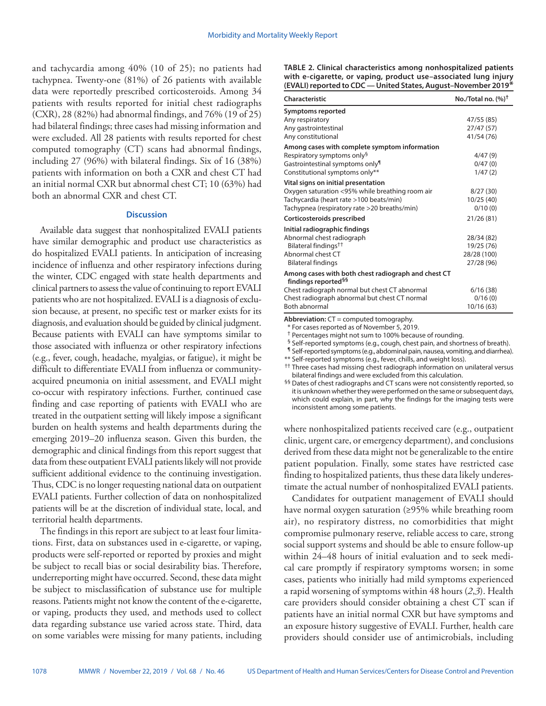and tachycardia among 40% (10 of 25); no patients had tachypnea. Twenty-one (81%) of 26 patients with available data were reportedly prescribed corticosteroids. Among 34 patients with results reported for initial chest radiographs (CXR), 28 (82%) had abnormal findings, and 76% (19 of 25) had bilateral findings; three cases had missing information and were excluded. All 28 patients with results reported for chest computed tomography (CT) scans had abnormal findings, including 27 (96%) with bilateral findings. Six of 16 (38%) patients with information on both a CXR and chest CT had an initial normal CXR but abnormal chest CT; 10 (63%) had both an abnormal CXR and chest CT.

# **Discussion**

Available data suggest that nonhospitalized EVALI patients have similar demographic and product use characteristics as do hospitalized EVALI patients. In anticipation of increasing incidence of influenza and other respiratory infections during the winter, CDC engaged with state health departments and clinical partners to assess the value of continuing to report EVALI patients who are not hospitalized. EVALI is a diagnosis of exclusion because, at present, no specific test or marker exists for its diagnosis, and evaluation should be guided by clinical judgment. Because patients with EVALI can have symptoms similar to those associated with influenza or other respiratory infections (e.g., fever, cough, headache, myalgias, or fatigue), it might be difficult to differentiate EVALI from influenza or communityacquired pneumonia on initial assessment, and EVALI might co-occur with respiratory infections. Further, continued case finding and case reporting of patients with EVALI who are treated in the outpatient setting will likely impose a significant burden on health systems and health departments during the emerging 2019–20 influenza season. Given this burden, the demographic and clinical findings from this report suggest that data from these outpatient EVALI patients likely will not provide sufficient additional evidence to the continuing investigation. Thus, CDC is no longer requesting national data on outpatient EVALI patients. Further collection of data on nonhospitalized patients will be at the discretion of individual state, local, and territorial health departments.

The findings in this report are subject to at least four limitations. First, data on substances used in e-cigarette, or vaping, products were self-reported or reported by proxies and might be subject to recall bias or social desirability bias. Therefore, underreporting might have occurred. Second, these data might be subject to misclassification of substance use for multiple reasons. Patients might not know the content of the e-cigarette, or vaping, products they used, and methods used to collect data regarding substance use varied across state. Third, data on some variables were missing for many patients, including **TABLE 2. Clinical characteristics among nonhospitalized patients with e-cigarette, or vaping, product use–associated lung injury (EVALI) reported to CDC — United States, August–November 2019\***

| Characteristic                                                                         | No./Total no. $(%)^{\dagger}$ |
|----------------------------------------------------------------------------------------|-------------------------------|
| <b>Symptoms reported</b>                                                               |                               |
| Any respiratory                                                                        | 47/55 (85)                    |
| Any gastrointestinal                                                                   | 27/47(57)                     |
| Any constitutional                                                                     | 41/54 (76)                    |
| Among cases with complete symptom information                                          |                               |
| Respiratory symptoms only <sup>§</sup>                                                 | 4/47(9)                       |
| Gastrointestinal symptoms only <sup>¶</sup>                                            | 0/47(0)                       |
| Constitutional symptoms only**                                                         | 1/47(2)                       |
| Vital signs on initial presentation                                                    |                               |
| Oxygen saturation <95% while breathing room air                                        | 8/27(30)                      |
| Tachycardia (heart rate >100 beats/min)                                                | 10/25(40)                     |
| Tachypnea (respiratory rate >20 breaths/min)                                           | 0/10(0)                       |
| Corticosteroids prescribed                                                             | 21/26(81)                     |
| Initial radiographic findings                                                          |                               |
| Abnormal chest radiograph                                                              | 28/34 (82)                    |
| Bilateral findings <sup>††</sup>                                                       | 19/25 (76)                    |
| Abnormal chest CT                                                                      | 28/28 (100)                   |
| <b>Bilateral findings</b>                                                              | 27/28 (96)                    |
| Among cases with both chest radiograph and chest CT<br>findings reported <sup>§§</sup> |                               |
| Chest radiograph normal but chest CT abnormal                                          | 6/16(38)                      |
| Chest radiograph abnormal but chest CT normal                                          | 0/16(0)                       |
| <b>Both abnormal</b>                                                                   | 10/16 (63)                    |

**Abbreviation:** CT = computed tomography.

\* For cases reported as of November 5, 2019.

† Percentages might not sum to 100% because of rounding.

§ Self-reported symptoms (e.g., cough, chest pain, and shortness of breath).

¶ Self-reported symptoms (e.g., abdominal pain, nausea, vomiting, and diarrhea).

\*\* Self-reported symptoms (e.g., fever, chills, and weight loss).

†† Three cases had missing chest radiograph information on unilateral versus bilateral findings and were excluded from this calculation.

§§ Dates of chest radiographs and CT scans were not consistently reported, so it is unknown whether they were performed on the same or subsequent days, which could explain, in part, why the findings for the imaging tests were inconsistent among some patients.

where nonhospitalized patients received care (e.g., outpatient clinic, urgent care, or emergency department), and conclusions derived from these data might not be generalizable to the entire patient population. Finally, some states have restricted case finding to hospitalized patients, thus these data likely underestimate the actual number of nonhospitalized EVALI patients.

Candidates for outpatient management of EVALI should have normal oxygen saturation (≥95% while breathing room air), no respiratory distress, no comorbidities that might compromise pulmonary reserve, reliable access to care, strong social support systems and should be able to ensure follow-up within 24–48 hours of initial evaluation and to seek medical care promptly if respiratory symptoms worsen; in some cases, patients who initially had mild symptoms experienced a rapid worsening of symptoms within 48 hours (*2*,*3*). Health care providers should consider obtaining a chest CT scan if patients have an initial normal CXR but have symptoms and an exposure history suggestive of EVALI. Further, health care providers should consider use of antimicrobials, including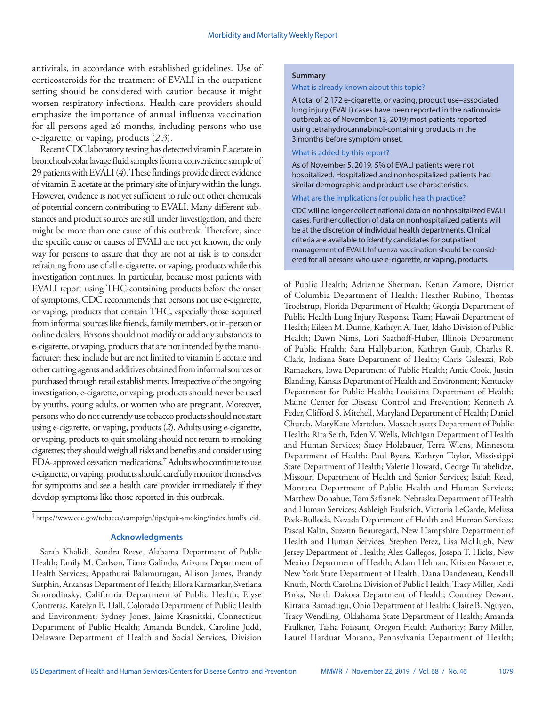antivirals, in accordance with established guidelines. Use of corticosteroids for the treatment of EVALI in the outpatient setting should be considered with caution because it might worsen respiratory infections. Health care providers should emphasize the importance of annual influenza vaccination for all persons aged ≥6 months, including persons who use e-cigarette, or vaping, products (*2*,*3*).

Recent CDC laboratory testing has detected vitamin E acetate in bronchoalveolar lavage fluid samples from a convenience sample of 29 patients with EVALI (*4*). These findings provide direct evidence of vitamin E acetate at the primary site of injury within the lungs. However, evidence is not yet sufficient to rule out other chemicals of potential concern contributing to EVALI. Many different substances and product sources are still under investigation, and there might be more than one cause of this outbreak. Therefore, since the specific cause or causes of EVALI are not yet known, the only way for persons to assure that they are not at risk is to consider refraining from use of all e-cigarette, or vaping, products while this investigation continues. In particular, because most patients with EVALI report using THC-containing products before the onset of symptoms, CDC recommends that persons not use e-cigarette, or vaping, products that contain THC, especially those acquired from informal sources like friends, family members, or in-person or online dealers. Persons should not modify or add any substances to e-cigarette, or vaping, products that are not intended by the manufacturer; these include but are not limited to vitamin E acetate and other cutting agents and additives obtained from informal sources or purchased through retail establishments. Irrespective of the ongoing investigation, e-cigarette, or vaping, products should never be used by youths, young adults, or women who are pregnant. Moreover, persons who do not currently use tobacco products should not start using e-cigarette, or vaping, products (*2*). Adults using e-cigarette, or vaping, products to quit smoking should not return to smoking cigarettes; they should weigh all risks and benefits and consider using FDA-approved cessation medications.† Adults who continue to use e-cigarette, or vaping, products should carefully monitor themselves for symptoms and see a health care provider immediately if they develop symptoms like those reported in this outbreak.

### **Acknowledgments**

Sarah Khalidi, Sondra Reese, Alabama Department of Public Health; Emily M. Carlson, Tiana Galindo, Arizona Department of Health Services; Appathurai Balamurugan, Allison James, Brandy Sutphin, Arkansas Department of Health; Ellora Karmarkar, Svetlana Smorodinsky, California Department of Public Health; Elyse Contreras, Katelyn E. Hall, Colorado Department of Public Health and Environment; Sydney Jones, Jaime Krasnitski, Connecticut Department of Public Health; Amanda Bundek, Caroline Judd, Delaware Department of Health and Social Services, Division

#### **Summary**

#### What is already known about this topic?

A total of 2,172 e-cigarette, or vaping, product use–associated lung injury (EVALI) cases have been reported in the nationwide outbreak as of November 13, 2019; most patients reported using tetrahydrocannabinol-containing products in the 3 months before symptom onset.

# What is added by this report?

As of November 5, 2019, 5% of EVALI patients were not hospitalized. Hospitalized and nonhospitalized patients had similar demographic and product use characteristics.

#### What are the implications for public health practice?

CDC will no longer collect national data on nonhospitalized EVALI cases. Further collection of data on nonhospitalized patients will be at the discretion of individual health departments. Clinical criteria are available to identify candidates for outpatient management of EVALI. Influenza vaccination should be considered for all persons who use e-cigarette, or vaping, products.

of Public Health; Adrienne Sherman, Kenan Zamore, District of Columbia Department of Health; Heather Rubino, Thomas Troelstrup, Florida Department of Health; Georgia Department of Public Health Lung Injury Response Team; Hawaii Department of Health; Eileen M. Dunne, Kathryn A. Tuer, Idaho Division of Public Health; Dawn Nims, Lori Saathoff-Huber, Illinois Department of Public Health; Sara Hallyburton, Kathryn Gaub, Charles R. Clark, Indiana State Department of Health; Chris Galeazzi, Rob Ramaekers, Iowa Department of Public Health; Amie Cook, Justin Blanding, Kansas Department of Health and Environment; Kentucky Department for Public Health; Louisiana Department of Health; Maine Center for Disease Control and Prevention; Kenneth A Feder, Clifford S. Mitchell, Maryland Department of Health; Daniel Church, MaryKate Martelon, Massachusetts Department of Public Health; Rita Seith, Eden V. Wells, Michigan Department of Health and Human Services; Stacy Holzbauer, Terra Wiens, Minnesota Department of Health; Paul Byers, Kathryn Taylor, Mississippi State Department of Health; Valerie Howard, George Turabelidze, Missouri Department of Health and Senior Services; Isaiah Reed, Montana Department of Public Health and Human Services; Matthew Donahue, Tom Safranek, Nebraska Department of Health and Human Services; Ashleigh Faulstich, Victoria LeGarde, Melissa Peek-Bullock, Nevada Department of Health and Human Services; Pascal Kalin, Suzann Beauregard, New Hampshire Department of Health and Human Services; Stephen Perez, Lisa McHugh, New Jersey Department of Health; Alex Gallegos, Joseph T. Hicks, New Mexico Department of Health; Adam Helman, Kristen Navarette, New York State Department of Health; Dana Dandeneau, Kendall Knuth, North Carolina Division of Public Health; Tracy Miller, Kodi Pinks, North Dakota Department of Health; Courtney Dewart, Kirtana Ramadugu, Ohio Department of Health; Claire B. Nguyen, Tracy Wendling, Oklahoma State Department of Health; Amanda Faulkner, Tasha Poissant, Oregon Health Authority; Barry Miller, Laurel Harduar Morano, Pennsylvania Department of Health;

<sup>†</sup> [https://www.cdc.gov/tobacco/campaign/tips/quit-smoking/index.html?s\\_cid](https://www.cdc.gov/tobacco/campaign/tips/quit-smoking/index.html?s_cid).